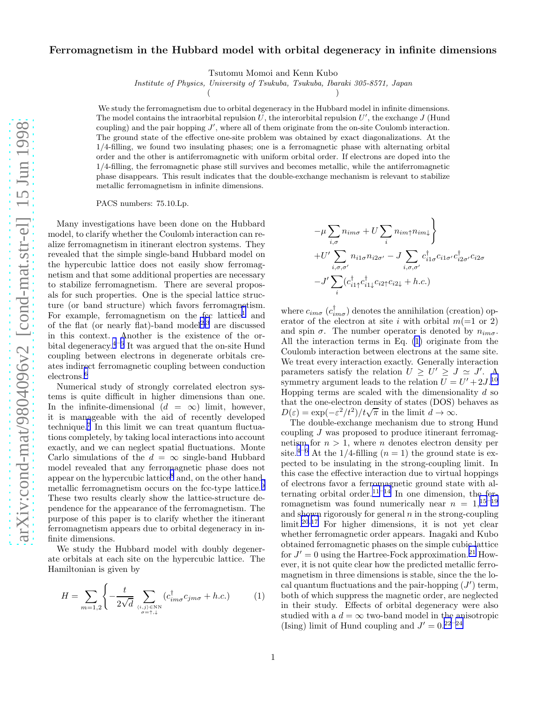## <span id="page-0-0"></span>Ferromagnetism in the Hubbard model with orbital degeneracy in infinite dimensions

Tsutomu Momoi and Kenn Kubo

Institute of Physics, University of Tsukuba, Tsukuba, Ibaraki 305-8571, Japan

 $($  )

We study the ferromagnetism due to orbital degeneracy in the Hubbard model in infinite dimensions. The model contains the intraorbital repulsion  $\widetilde{U}$ , the interorbital repulsion  $U'$ , the exchange  $J$  (Hund coupling) and the pair hopping  $J'$ , where all of them originate from the on-site Coulomb interaction. The ground state of the effective one-site problem was obtained by exact diagonalizations. At the 1/4-filling, we found two insulating phases; one is a ferromagnetic phase with alternating orbital order and the other is antiferromagnetic with uniform orbital order. If electrons are doped into the 1/4-filling, the ferromagnetic phase still survives and becomes metallic, while the antiferromagnetic phase disappears. This result indicates that the double-exchange mechanism is relevant to stabilize metallic ferromagnetism in infinite dimensions.

PACS numbers: 75.10.Lp.

Many investigations have been done on the Hubbard model, to clarify whether the Coulomb interaction can realize ferromagnetism in itinerant electron systems. They revealed that the simple single-band Hubbard model on the hypercubic lattice does not easily show ferromagnetism and that some additional properties are necessary to stabilize ferromagnetism. There are several proposals for such properties. One is the special lattice structure (or band structure) which favors ferromagnetism. For example, ferromagnetism on the fcc lattice<sup>[1](#page-3-0)</sup> and of the flat (or nearly flat)-band model<sup>[2](#page-3-0),[3](#page-3-0)</sup> are discussed in this context. Another is the existence of the or-bital degeneracy.<sup>[4](#page-3-0)–[6](#page-3-0)</sup> It was argued that the on-site Hund coupling between electrons in degenerate orbitals creates indirect ferromagnetic coupling between conduction electrons.<sup>[6](#page-3-0)</sup>

Numerical study of strongly correlated electron systems is quite difficult in higher dimensions than one. In the infinite-dimensional  $(d = \infty)$  limit, however, it is manageable with the aid of recently developed technique.[7](#page-3-0) In this limit we can treat quantum fluctuations completely, by taking local interactions into account exactly, and we can neglect spatial fluctuations. Monte Carlo simulations of the  $d = \infty$  single-band Hubbard model revealed that any ferromagnetic phase does not appear on the hypercubic lattice<sup>[8](#page-3-0)</sup> and, on the other hand, metallic ferromagnetism occurs on the fcc-type lattice.<sup>[9](#page-3-0)</sup> These two results clearly show the lattice-structure dependence for the appearance of the ferromagnetism. The purpose of this paper is to clarify whether the itinerant ferromagnetism appears due to orbital degeneracy in infinite dimensions.

We study the Hubbard model with doubly degenerate orbitals at each site on the hypercubic lattice. The Hamiltonian is given by

$$
H = \sum_{m=1,2} \left\{ -\frac{t}{2\sqrt{d}} \sum_{(i,j) \in \text{NN} \atop \sigma = \uparrow, \downarrow} (c_{im\sigma}^{\dagger} c_{jm\sigma} + h.c.) \right\}
$$
 (1)

$$
-\mu \sum_{i,\sigma} n_{im\sigma} + U \sum_{i} n_{im\uparrow} n_{im\downarrow} \}
$$
  
+
$$
U' \sum_{i,\sigma,\sigma'} n_{i1\sigma} n_{i2\sigma'} - J \sum_{i,\sigma,\sigma'} c^{\dagger}_{i1\sigma} c_{i1\sigma'} c^{\dagger}_{i2\sigma'} c_{i2\sigma}
$$
  
-
$$
J' \sum_{i} (c^{\dagger}_{i1\uparrow} c^{\dagger}_{i1\downarrow} c_{i2\uparrow} c_{i2\downarrow} + h.c.)
$$

where  $c_{im\sigma}$   $(c^{\dagger}_{im\sigma})$  denotes the annihilation (creation) operator of the electron at site i with orbital  $m(=1 \text{ or } 2)$ and spin  $\sigma$ . The number operator is denoted by  $n_{im\sigma}$ . All the interaction terms in Eq. (1) originate from the Coulomb interaction between electrons at the same site. We treat every interaction exactly. Generally interaction parameters satisfy the relation  $U \geq U' \geq J \simeq J'$ . A symmetry argument leads to the relation  $U = U' + 2J$ .<sup>[10](#page-3-0)</sup> Hopping terms are scaled with the dimensionality  $d$  so that the one-electron density of states (DOS) behaves as  $D(\varepsilon) = \exp(-\varepsilon^2/t^2)/t\sqrt{\pi}$  in the limit  $d \to \infty$ .

The double-exchange mechanism due to strong Hund coupling J was proposed to produce itinerant ferromagnetism for  $n > 1$ , where *n* denotes electron density per site.<sup>[4](#page-3-0)–[6](#page-3-0)</sup> At the 1/4-filling  $(n = 1)$  the ground state is expected to be insulating in the strong-coupling limit. In this case the effective interaction due to virtual hoppings of electrons favor a ferromagnetic ground state with alternating orbital order.<sup>[11](#page-3-0)–[14](#page-3-0)</sup> In one dimension, the ferromagnetism was found numerically near  $n = 1,15-19$  $n = 1,15-19$  $n = 1,15-19$  $n = 1,15-19$ and shown rigorously for general  $n$  in the strong-coupling  $\lim$ it.<sup>[20](#page-3-0),[17](#page-3-0)</sup> For higher dimensions, it is not yet clear whether ferromagnetic order appears. Inagaki and Kubo obtained ferromagnetic phases on the simple cubic lattice for  $J' = 0$  using the Hartree-Fock approximation.<sup>[21](#page-3-0)</sup> However, it is not quite clear how the predicted metallic ferromagnetism in three dimensions is stable, since the the local quantum fluctuations and the pair-hopping  $(J')$  term, both of which suppress the magnetic order, are neglected in their study. Effects of orbital degeneracy were also studied with a  $d = \infty$  two-band model in the anisotropic (Ising) limit of Hund coupling and  $J' = 0.22 - 24$  $J' = 0.22 - 24$  $J' = 0.22 - 24$  $J' = 0.22 - 24$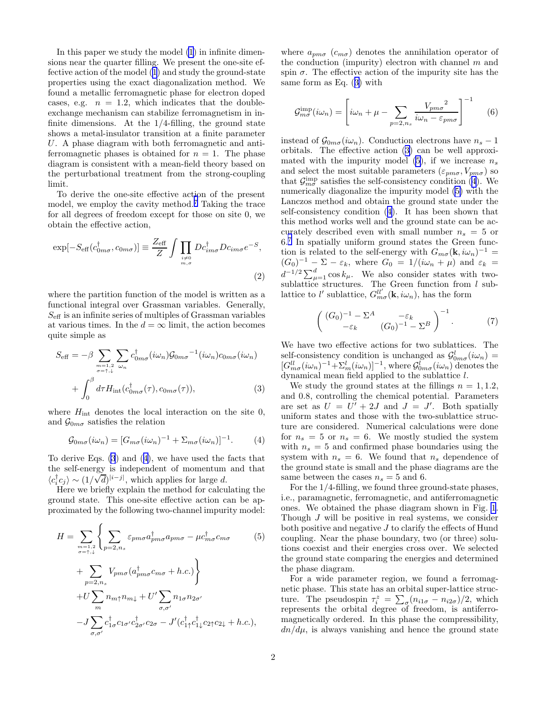In this paper we study the model [\(1](#page-0-0)) in infinite dimensions near the quarter filling. We present the one-site effective action of the model [\(1](#page-0-0)) and study the ground-state properties using the exact diagonalization method. We found a metallic ferromagnetic phase for electron doped cases, e.g.  $n = 1.2$ , which indicates that the doubleexchange mechanism can stabilize ferromagnetism in infinite dimensions. At the  $1/4$ -filling, the ground state shows a metal-insulator transition at a finite parameter U. A phase diagram with both ferromagnetic and antiferromagnetic phases is obtained for  $n = 1$ . The phase diagram is consistent with a mean-field theory based on the perturbational treatment from the strong-coupling limit.

To derive the one-site effective action of the present model, we employ the cavity method.<sup>[7](#page-3-0)</sup> Taking the trace for all degrees of freedom except for those on site 0, we obtain the effective action,

$$
\exp[-S_{\text{eff}}(c_{0m\sigma}^{\dagger}, c_{0m\sigma})] \equiv \frac{Z_{\text{eff}}}{Z} \int \prod_{\substack{i \neq 0 \\ m,\sigma}} Dc_{im\sigma}^{\dagger} Dc_{im\sigma} e^{-S},\tag{2}
$$

where the partition function of the model is written as a functional integral over Grassman variables. Generally,  $S_{\text{eff}}$  is an infinite series of multiples of Grassman variables at various times. In the  $d = \infty$  limit, the action becomes quite simple as

$$
S_{\text{eff}} = -\beta \sum_{\substack{m=1,2 \ \sigma=\uparrow,\downarrow}} \sum_{\omega_n} c_{0m\sigma}^{\dagger} (i\omega_n) \mathcal{G}_{0m\sigma}^{-1} (i\omega_n) c_{0m\sigma} (i\omega_n)
$$

$$
+ \int_0^\beta d\tau H_{\text{int}}(c_{0m\sigma}^{\dagger}(\tau), c_{0m\sigma}(\tau)), \tag{3}
$$

where  $H_{\text{int}}$  denotes the local interaction on the site 0, and  $\mathcal{G}_{0m\sigma}$  satisfies the relation

$$
\mathcal{G}_{0m\sigma}(i\omega_n) = [G_{m\sigma}(i\omega_n)^{-1} + \Sigma_{m\sigma}(i\omega_n)]^{-1}.
$$
 (4)

To derive Eqs. (3) and (4), we have used the facts that the self-energy is independent of momentum and that  $\langle c_i^{\dagger} c_j \rangle \sim (1/\sqrt{d})^{|i-j|}$ , which applies for large d.

Here we briefly explain the method for calculating the ground state. This one-site effective action can be approximated by the following two-channel impurity model:

$$
H = \sum_{\substack{m=1,2\\ \sigma=\uparrow,\downarrow}} \left\{ \sum_{p=2,n_s} \varepsilon_{pm\sigma} a_{pm\sigma}^{\dagger} a_{pm\sigma} - \mu c_{m\sigma}^{\dagger} c_{m\sigma} \right. \tag{5}
$$

$$
+ \sum_{p=2,n_s} V_{pm\sigma} (a_{pm\sigma}^{\dagger} c_{m\sigma} + h.c.) \right\}
$$

$$
+ U \sum_{m} n_{m\uparrow} n_{m\downarrow} + U' \sum_{\sigma,\sigma'} n_{1\sigma} n_{2\sigma'}
$$

$$
- J \sum_{\sigma,\sigma'} c_{1\sigma}^{\dagger} c_{1\sigma'} c_{2\sigma'}^{\dagger} c_{2\sigma} - J' (c_{1\uparrow}^{\dagger} c_{1\downarrow}^{\dagger} c_{2\uparrow} c_{2\downarrow} + h.c.),
$$

where  $a_{pm\sigma}$  ( $c_{m\sigma}$ ) denotes the annihilation operator of the conduction (impurity) electron with channel  $m$  and spin  $\sigma$ . The effective action of the impurity site has the same form as Eq. (3) with

$$
\mathcal{G}_{m\sigma}^{\text{imp}}(i\omega_n) = \left[i\omega_n + \mu - \sum_{p=2, n_s} \frac{V_{pm\sigma}^2}{i\omega_n - \varepsilon_{pm\sigma}}\right]^{-1} \tag{6}
$$

instead of  $\mathcal{G}_{0m\sigma}(i\omega_n)$ . Conduction electrons have  $n_s - 1$ orbitals. The effective action (3) can be well approximated with the impurity model  $(5)$ , if we increase  $n_s$ and select the most suitable parameters  $(\varepsilon_{pm\sigma}, V_{pm\sigma})$  so that  $\mathcal{G}_{m\sigma}^{\text{imp}}$  satisfies the self-consistency condition (4). We numerically diagonalize the impurity model (5) with the Lanczos method and obtain the ground state under the self-consistency condition (4). It has been shown that this method works well and the ground state can be accurately described even with small number  $n_s = 5$  or 6.[7](#page-3-0) In spatially uniform ground states the Green function is related to the self-energy with  $G_{m\sigma}(\mathbf{k}, i\omega_n)^{-1} =$  $(G_0)^{-1}$  –  $\Sigma - \varepsilon_k$ , where  $G_0 = 1/(i\omega_n + \mu)$  and  $\varepsilon_k =$  $d^{-1/2} \sum_{\mu=1}^{d} \cos k_{\mu}$ . We also consider states with twosublattice structures. The Green function from  $l$  sublattice to  $l'$  sublattice,  $G_{m\sigma}^{ll'}(\mathbf{k}, i\omega_n)$ , has the form

$$
\left(\begin{array}{cc} (G_0)^{-1} - \Sigma^A & -\varepsilon_k \\ -\varepsilon_k & (G_0)^{-1} - \Sigma^B \end{array}\right)^{-1}.
$$
 (7)

We have two effective actions for two sublattices. The self-consistency condition is unchanged as  $\mathcal{G}_{0m\sigma}^{l}(i\omega_n)$  =  $[G_{m\sigma}^{ll}(i\omega_n)^{-1}+\Sigma_m^l(i\omega_n)]^{-1}$ , where  $\mathcal{G}_{0m\sigma}^l(i\omega_n)$  denotes the dynamical mean field applied to the sublattice l.

We study the ground states at the fillings  $n = 1, 1.2$ , and 0.8, controlling the chemical potential. Parameters are set as  $U = U' + 2J$  and  $J = J'$ . Both spatially uniform states and those with the two-sublattice structure are considered. Numerical calculations were done for  $n_s = 5$  or  $n_s = 6$ . We mostly studied the system with  $n_s = 5$  and confirmed phase boundaries using the system with  $n_s = 6$ . We found that  $n_s$  dependence of the ground state is small and the phase diagrams are the same between the cases  $n_s = 5$  and 6.

For the 1/4-filling, we found three ground-state phases, i.e., paramagnetic, ferromagnetic, and antiferromagnetic ones. We obtained the phase diagram shown in Fig. [1](#page-2-0). Though  $J$  will be positive in real systems, we consider both positive and negative J to clarify the effects of Hund coupling. Near the phase boundary, two (or three) solutions coexist and their energies cross over. We selected the ground state comparing the energies and determined the phase diagram.

For a wide parameter region, we found a ferromagnetic phase. This state has an orbital super-lattice structure. The pseudospin  $\tau_i^z = \sum_{\sigma} (n_{i1\sigma} - n_{i2\sigma})/2$ , which represents the orbital degree of freedom, is antiferromagnetically ordered. In this phase the compressibility,  $dn/d\mu$ , is always vanishing and hence the ground state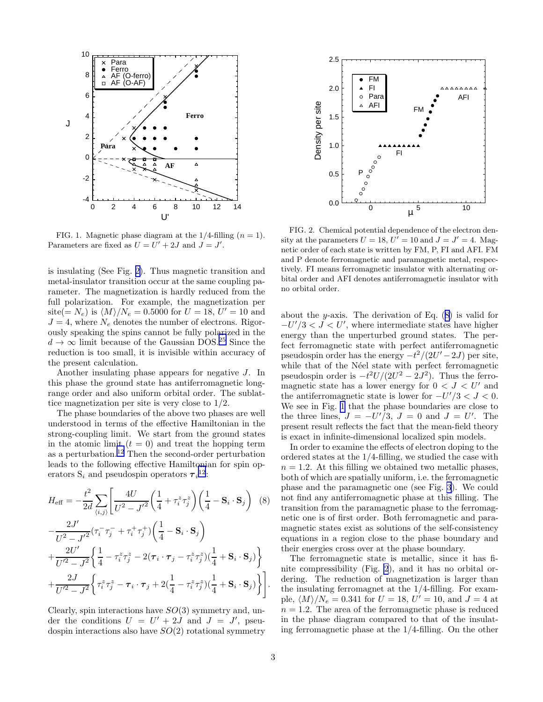<span id="page-2-0"></span>

FIG. 1. Magnetic phase diagram at the  $1/4$ -filling  $(n = 1)$ . Parameters are fixed as  $U = U' + 2J$  and  $J = J'$ .

is insulating (See Fig. 2). Thus magnetic transition and metal-insulator transition occur at the same coupling parameter. The magnetization is hardly reduced from the full polarization. For example, the magnetization per site(=  $N_e$ ) is  $\langle M \rangle/N_e = 0.5000$  for  $U = 18, U' = 10$  and  $J = 4$ , where  $N_e$  denotes the number of electrons. Rigorously speaking the spins cannot be fully polarized in the  $d \rightarrow \infty$  limit because of the Gaussian DOS.<sup>[25](#page-3-0)</sup> Since the reduction is too small, it is invisible within accuracy of the present calculation.

Another insulating phase appears for negative J. In this phase the ground state has antiferromagnetic longrange order and also uniform orbital order. The sublattice magnetization per site is very close to 1/2.

The phase boundaries of the above two phases are well understood in terms of the effective Hamiltonian in the strong-coupling limit. We start from the ground states in the atomic limit  $(t = 0)$  and treat the hopping term as a perturbation.[12](#page-3-0) Then the second-order perturbation leads to the following effective Hamiltonian for spin operators  $S_i$  and pseudospin operators  $\tau_i^{12}$  $\tau_i^{12}$  $\tau_i^{12}$ :

$$
H_{\text{eff}} = -\frac{t^2}{2d} \sum_{\langle i,j \rangle} \left[ \frac{4U}{U^2 - J'^2} \left( \frac{1}{4} + \tau_i^z \tau_j^z \right) \left( \frac{1}{4} - \mathbf{S}_i \cdot \mathbf{S}_j \right) \right] \tag{8}
$$
  

$$
-\frac{2J'}{U^2 - J'^2} (\tau_i^- \tau_j^- + \tau_i^+ \tau_j^+) \left( \frac{1}{4} - \mathbf{S}_i \cdot \mathbf{S}_j \right)
$$
  

$$
+\frac{2U'}{U'^2 - J^2} \left\{ \frac{1}{4} - \tau_i^z \tau_j^z - 2(\tau_i \cdot \tau_j - \tau_i^z \tau_j^z) \left( \frac{1}{4} + \mathbf{S}_i \cdot \mathbf{S}_j \right) \right\}
$$
  

$$
+\frac{2J}{U'^2 - J^2} \left\{ \tau_i^z \tau_j^z - \tau_i \cdot \tau_j + 2 \left( \frac{1}{4} - \tau_i^z \tau_j^z \right) \left( \frac{1}{4} + \mathbf{S}_i \cdot \mathbf{S}_j \right) \right\} \right].
$$

Clearly, spin interactions have  $SO(3)$  symmetry and, under the conditions  $U = U' + 2J$  and  $J = J'$ , pseudospin interactions also have  $SO(2)$  rotational symmetry



FIG. 2. Chemical potential dependence of the electron density at the parameters  $U = 18$ ,  $U^{\prime} = 10$  and  $J = J' = 4$ . Magnetic order of each state is written by FM, P, FI and AFI. FM and P denote ferromagnetic and paramagnetic metal, respectively. FI means ferromagnetic insulator with alternating orbital order and AFI denotes antiferromagnetic insulator with no orbital order.

about the y-axis. The derivation of Eq.  $(8)$  is valid for  $-U'/3 < J < U'$ , where intermediate states have higher energy than the unperturbed ground states. The perfect ferromagnetic state with perfect antiferromagnetic pseudospin order has the energy  $-t^2/(2U'-2J)$  per site, while that of the Néel state with perfect ferromagnetic pseudospin order is  $-t^2U/(2U^2-2J^2)$ . Thus the ferromagnetic state has a lower energy for  $0 < J < U'$  and the antiferromagnetic state is lower for  $-U'/3 < J < 0$ . We see in Fig. 1 that the phase boundaries are close to the three lines,  $J = -U'/3$ ,  $J = 0$  and  $J = U'$ . The present result reflects the fact that the mean-field theory is exact in infinite-dimensional localized spin models.

In order to examine the effects of electron doping to the ordered states at the 1/4-filling, we studied the case with  $n = 1.2$ . At this filling we obtained two metallic phases, both of which are spatially uniform, i.e. the ferromagnetic phase and the paramagnetic one (see Fig. [3](#page-3-0)). We could not find any antiferromagnetic phase at this filling. The transition from the paramagnetic phase to the ferromagnetic one is of first order. Both ferromagnetic and paramagnetic states exist as solutions of the self-consistency equations in a region close to the phase boundary and their energies cross over at the phase boundary.

The ferromagnetic state is metallic, since it has finite compressibility (Fig. 2), and it has no orbital ordering. The reduction of magnetization is larger than the insulating ferromagnet at the 1/4-filling. For example,  $\langle M \rangle / N_e = 0.341$  for  $U = 18$ ,  $U' = 10$ , and  $J = 4$  at  $n = 1.2$ . The area of the ferromagnetic phase is reduced in the phase diagram compared to that of the insulating ferromagnetic phase at the 1/4-filling. On the other